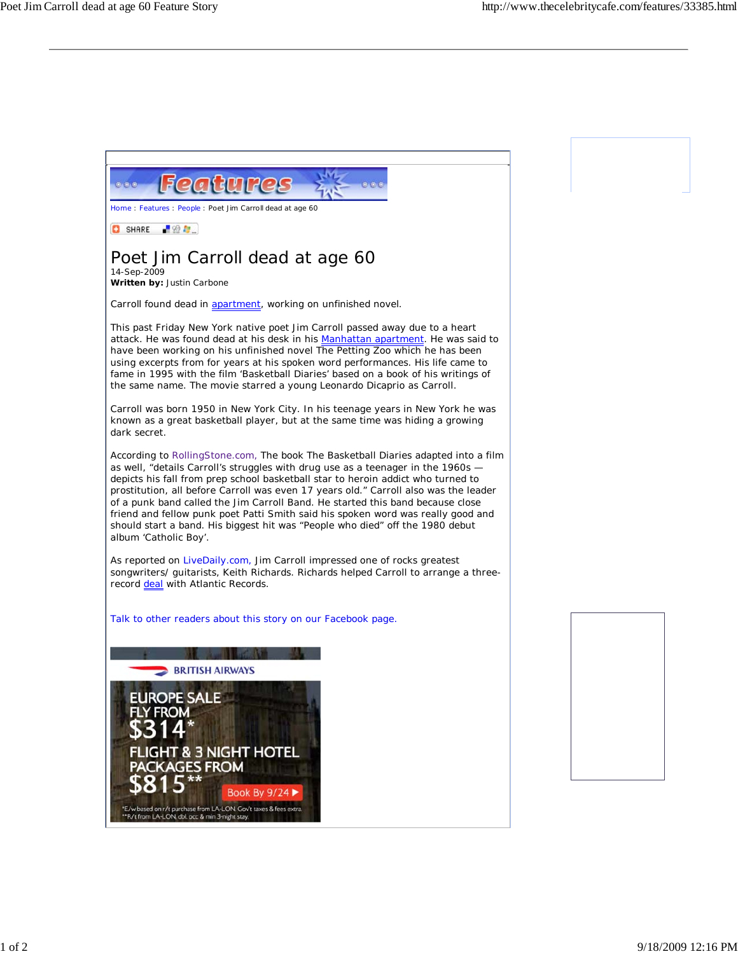